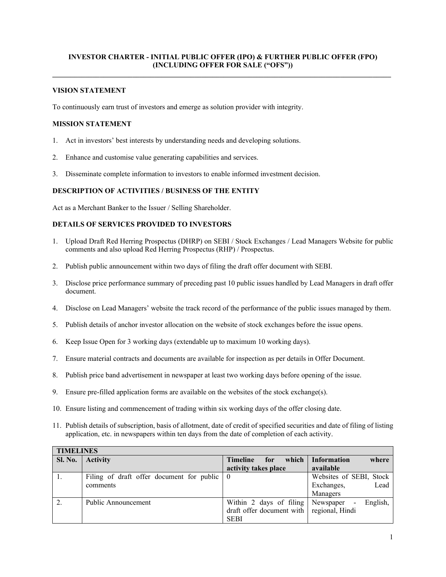## **INVESTOR CHARTER - INITIAL PUBLIC OFFER (IPO) & FURTHER PUBLIC OFFER (FPO) (INCLUDING OFFER FOR SALE ("OFS")) \_\_\_\_\_\_\_\_\_\_\_\_\_\_\_\_\_\_\_\_\_\_\_\_\_\_\_\_\_\_\_\_\_\_\_\_\_\_\_\_\_\_\_\_\_\_\_\_\_\_\_\_\_\_\_\_\_\_\_\_\_\_\_\_\_\_\_\_\_\_\_\_\_\_\_\_\_\_\_\_\_\_\_\_\_\_\_\_\_\_\_\_\_**

### **VISION STATEMENT**

To continuously earn trust of investors and emerge as solution provider with integrity.

### **MISSION STATEMENT**

- 1. Act in investors' best interests by understanding needs and developing solutions.
- 2. Enhance and customise value generating capabilities and services.
- 3. Disseminate complete information to investors to enable informed investment decision.

### **DESCRIPTION OF ACTIVITIES / BUSINESS OF THE ENTITY**

Act as a Merchant Banker to the Issuer / Selling Shareholder.

## **DETAILS OF SERVICES PROVIDED TO INVESTORS**

- 1. Upload Draft Red Herring Prospectus (DHRP) on SEBI / Stock Exchanges / Lead Managers Website for public comments and also upload Red Herring Prospectus (RHP) / Prospectus.
- 2. Publish public announcement within two days of filing the draft offer document with SEBI.
- 3. Disclose price performance summary of preceding past 10 public issues handled by Lead Managers in draft offer document.
- 4. Disclose on Lead Managers' website the track record of the performance of the public issues managed by them.
- 5. Publish details of anchor investor allocation on the website of stock exchanges before the issue opens.
- 6. Keep Issue Open for 3 working days (extendable up to maximum 10 working days).
- 7. Ensure material contracts and documents are available for inspection as per details in Offer Document.
- 8. Publish price band advertisement in newspaper at least two working days before opening of the issue.
- 9. Ensure pre-filled application forms are available on the websites of the stock exchange(s).
- 10. Ensure listing and commencement of trading within six working days of the offer closing date.
- 11. Publish details of subscription, basis of allotment, date of credit of specified securities and date of filing of listing application, etc. in newspapers within ten days from the date of completion of each activity.

| <b>TIMELINES</b> |                                                             |                                           |                                                   |  |  |
|------------------|-------------------------------------------------------------|-------------------------------------------|---------------------------------------------------|--|--|
| <b>Sl. No.</b>   | <b>Activity</b>                                             | which<br><b>Timeline</b><br>for           | <b>Information</b><br>where                       |  |  |
|                  |                                                             | activity takes place                      | available                                         |  |  |
|                  | Filing of draft offer document for public $\vert 0 \rangle$ |                                           | Websites of SEBI, Stock                           |  |  |
|                  | comments                                                    |                                           | Lead<br>Exchanges,                                |  |  |
|                  |                                                             |                                           | Managers                                          |  |  |
|                  | Public Announcement                                         | Within 2 days of filing                   | English,<br>Newspaper<br>$\overline{\phantom{a}}$ |  |  |
|                  |                                                             | draft offer document with regional, Hindi |                                                   |  |  |
|                  |                                                             | <b>SEBI</b>                               |                                                   |  |  |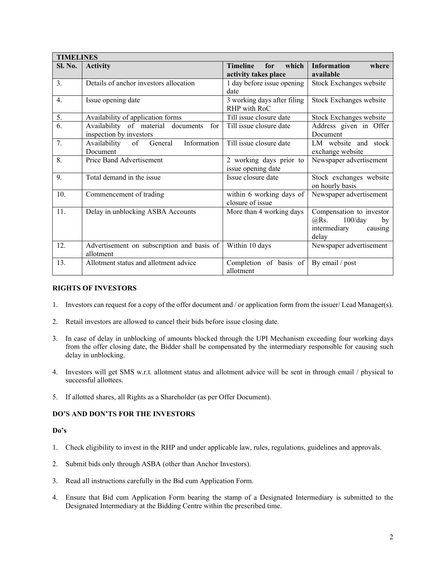| <b>TIMELINES</b> |                                                                      |                                                         |                                                                                          |  |  |
|------------------|----------------------------------------------------------------------|---------------------------------------------------------|------------------------------------------------------------------------------------------|--|--|
| <b>Sl. No.</b>   | <b>Activity</b>                                                      | <b>Timeline</b><br>which<br>for<br>activity takes place | <b>Information</b><br>where<br>available                                                 |  |  |
| 3.               | Details of anchor investors allocation                               | 1 day before issue opening<br>date                      | Stock Exchanges website                                                                  |  |  |
| $\overline{4}$ . | Issue opening date                                                   | 3 working days after filing<br>RHP with RoC             | Stock Exchanges website                                                                  |  |  |
| 5.               | Availability of application forms                                    | Till issue closure date                                 | Stock Exchanges website                                                                  |  |  |
| 6.               | Availability of material documents<br>for<br>inspection by investors | Till issue closure date                                 | Address given in Offer<br>Document                                                       |  |  |
| 7.               | Information<br>General<br>Availability<br>of<br>Document             | Till issue closure date                                 | LM website and stock<br>exchange website                                                 |  |  |
| 8.               | Price Band Advertisement                                             | 2 working days prior to<br>issue opening date           | Newspaper advertisement                                                                  |  |  |
| 9.               | Total demand in the issue                                            | Issue closure date                                      | Stock exchanges website<br>on hourly basis                                               |  |  |
| 10.              | Commencement of trading                                              | within 6 working days of<br>closure of issue            | Newspaper advertisement                                                                  |  |  |
| 11.              | Delay in unblocking ASBA Accounts                                    | More than 4 working days                                | Compensation to investor<br>@Rs.<br>$100$ /day<br>by<br>intermediary<br>causing<br>delay |  |  |
| 12.              | Advertisement on subscription and basis of<br>allotment              | Within 10 days                                          | Newspaper advertisement                                                                  |  |  |
| 13.              | Allotment status and allotment advice                                | Completion of basis of<br>allotment                     | By email / post                                                                          |  |  |

## **RIGHTS OF INVESTORS**

- 1. Investors can request for a copy of the offer document and / or application form from the issuer/ Lead Manager(s).
- 2. Retail investors are allowed to cancel their bids before issue closing date.
- 3. In case of delay in unblocking of amounts blocked through the UPI Mechanism exceeding four working days from the offer closing date, the Bidder shall be compensated by the intermediary responsible for causing such delay in unblocking.
- 4. Investors will get SMS w.r.t. allotment status and allotment advice will be sent in through email / physical to successful allottees.
- 5. If allotted shares, all Rights as a Shareholder (as per Offer Document).

### **DO'S AND DON'TS FOR THE INVESTORS**

### **Do's**

- 1. Check eligibility to invest in the RHP and under applicable law, rules, regulations, guidelines and approvals.
- 2. Submit bids only through ASBA (other than Anchor Investors).
- 3. Read all instructions carefully in the Bid cum Application Form.
- 4. Ensure that Bid cum Application Form bearing the stamp of a Designated Intermediary is submitted to the Designated Intermediary at the Bidding Centre within the prescribed time.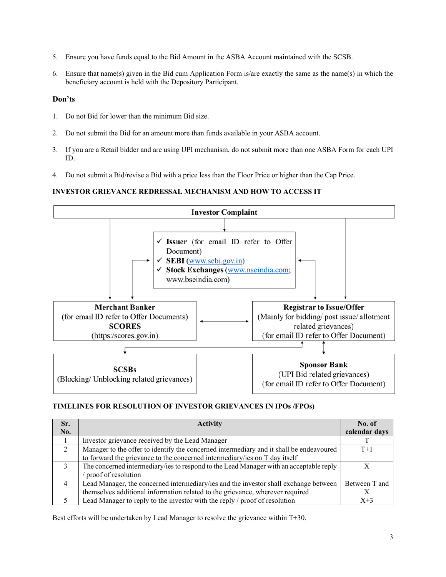- 5. Ensure you have funds equal to the Bid Amount in the ASBA Account maintained with the SCSB.
- 6. Ensure that name(s) given in the Bid cum Application Form is/are exactly the same as the name(s) in which the beneficiary account is held with the Depository Participant.

## **Don'ts**

- 1. Do not Bid for lower than the minimum Bid size.
- 2. Do not submit the Bid for an amount more than funds available in your ASBA account.
- 3. If you are a Retail bidder and are using UPI mechanism, do not submit more than one ASBA Form for each UPI ID.
- 4. Do not submit a Bid/revise a Bid with a price less than the Floor Price or higher than the Cap Price.

# **INVESTOR GRIEVANCE REDRESSAL MECHANISM AND HOW TO ACCESS IT**



# **TIMELINES FOR RESOLUTION OF INVESTOR GRIEVANCES IN IPOs /FPOs)**

| Sr.            | <b>Activity</b>                                                                         | No. of        |
|----------------|-----------------------------------------------------------------------------------------|---------------|
| No.            |                                                                                         | calendar days |
|                | Investor grievance received by the Lead Manager                                         |               |
| $\overline{2}$ | Manager to the offer to identify the concerned intermediary and it shall be endeavoured | $T+1$         |
|                | to forward the grievance to the concerned intermediary/ies on T day itself              |               |
| 3              | The concerned intermediary/ies to respond to the Lead Manager with an acceptable reply  |               |
|                | proof of resolution                                                                     |               |
| $\overline{4}$ | Lead Manager, the concerned intermediary/ies and the investor shall exchange between    | Between T and |
|                | themselves additional information related to the grievance, wherever required           |               |
|                | Lead Manager to reply to the investor with the reply / proof of resolution              | $X+3$         |

Best efforts will be undertaken by Lead Manager to resolve the grievance within T+30.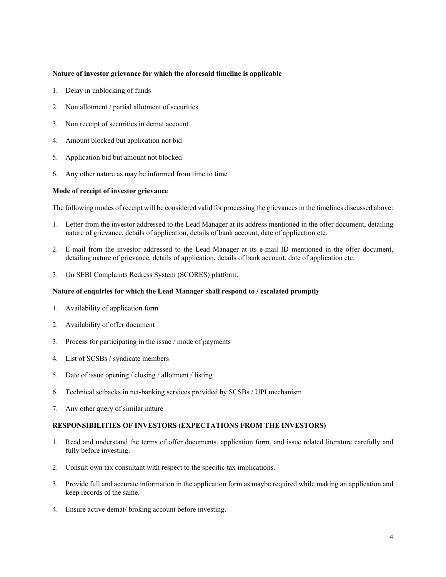### **Nature of investor grievance for which the aforesaid timeline is applicable**

- 1. Delay in unblocking of funds
- 2. Non allotment / partial allotment of securities
- 3. Non receipt of securities in demat account
- 4. Amount blocked but application not bid
- 5. Application bid but amount not blocked
- 6. Any other nature as may be informed from time to time

#### **Mode of receipt of investor grievance**

The following modes of receipt will be considered valid for processing the grievances in the timelines discussed above:

- 1. Letter from the investor addressed to the Lead Manager at its address mentioned in the offer document, detailing nature of grievance, details of application, details of bank account, date of application etc.
- 2. E-mail from the investor addressed to the Lead Manager at its e-mail ID mentioned in the offer document, detailing nature of grievance, details of application, details of bank account, date of application etc.
- 3. On SEBI Complaints Redress System (SCORES) platform.

#### **Nature of enquiries for which the Lead Manager shall respond to / escalated promptly**

- 1. Availability of application form
- 2. Availability of offer document
- 3. Process for participating in the issue / mode of payments
- 4. List of SCSBs / syndicate members
- 5. Date of issue opening / closing / allotment / listing
- 6. Technical setbacks in net-banking services provided by SCSBs / UPI mechanism
- 7. Any other query of similar nature

### **RESPONSIBILITIES OF INVESTORS (EXPECTATIONS FROM THE INVESTORS)**

- 1. Read and understand the terms of offer documents, application form, and issue related literature carefully and fully before investing.
- 2. Consult own tax consultant with respect to the specific tax implications.
- 3. Provide full and accurate information in the application form as maybe required while making an application and keep records of the same.
- 4. Ensure active demat/ broking account before investing.